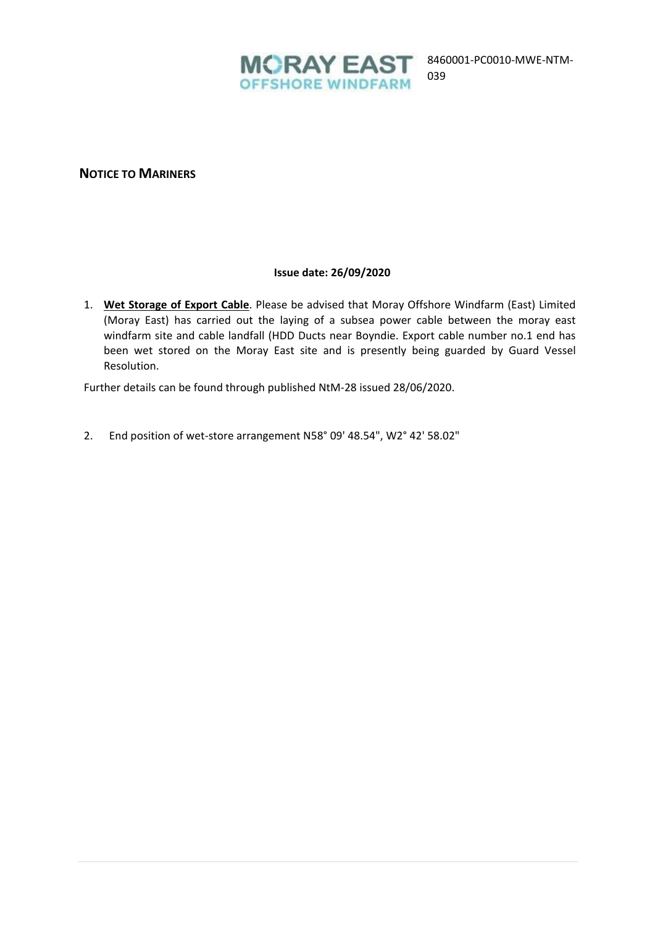

039

# **NOTICE TO MARINERS**

#### **Issue date: 26/09/2020**

1. **Wet Storage of Export Cable**. Please be advised that Moray Offshore Windfarm (East) Limited (Moray East) has carried out the laying of a subsea power cable between the moray east windfarm site and cable landfall (HDD Ducts near Boyndie. Export cable number no.1 end has been wet stored on the Moray East site and is presently being guarded by Guard Vessel Resolution.

Further details can be found through published NtM-28 issued 28/06/2020.

2. End position of wet-store arrangement N58° 09' 48.54", W2° 42' 58.02"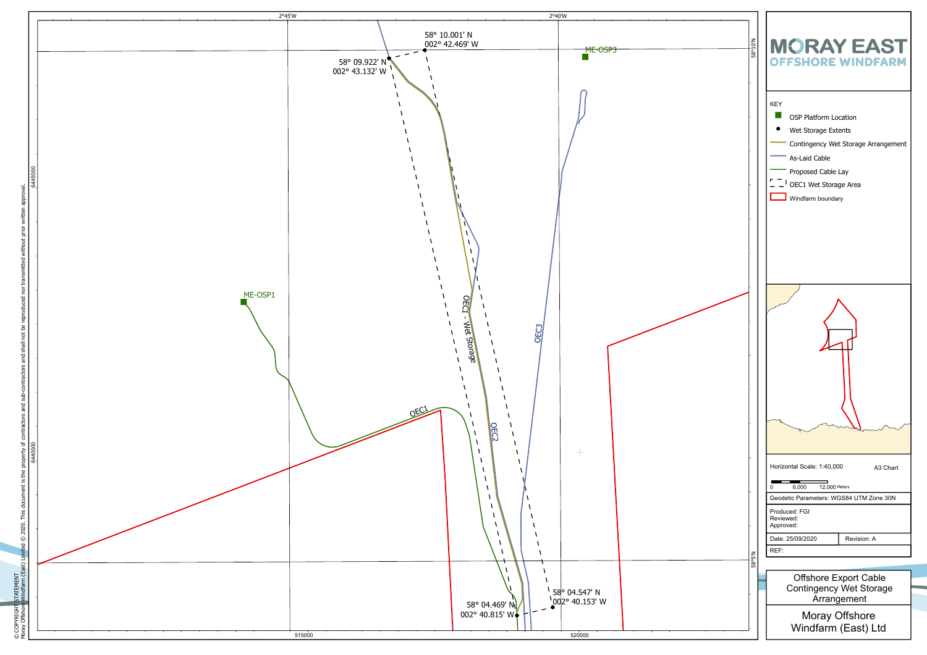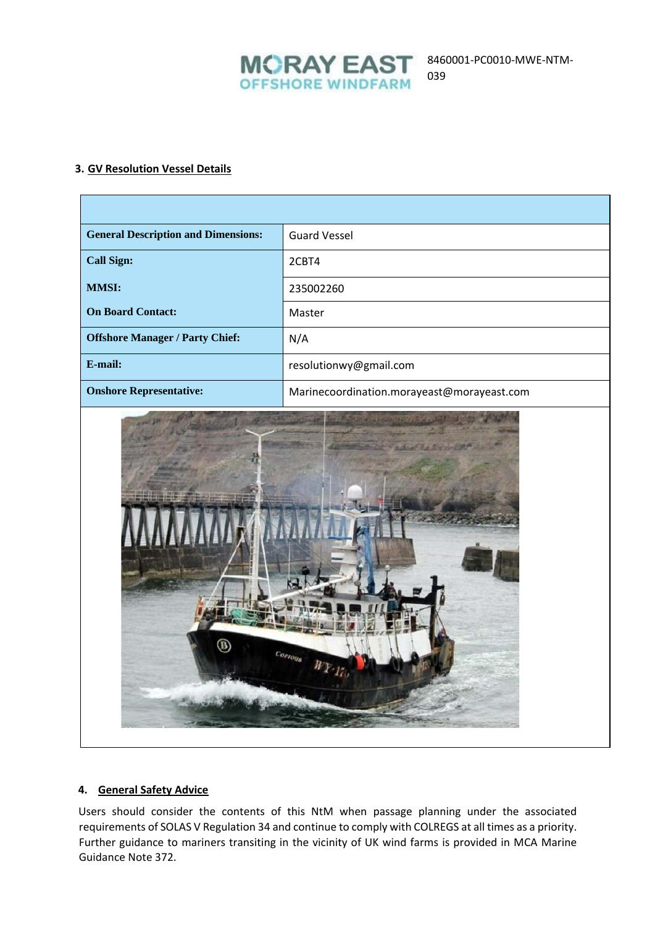

# **3. GV Resolution Vessel Details**

| <b>General Description and Dimensions:</b>                                                                                                                                                                                           | <b>Guard Vessel</b>                        |
|--------------------------------------------------------------------------------------------------------------------------------------------------------------------------------------------------------------------------------------|--------------------------------------------|
| <b>Call Sign:</b>                                                                                                                                                                                                                    | 2CBT4                                      |
| <b>MMSI:</b>                                                                                                                                                                                                                         | 235002260                                  |
| <b>On Board Contact:</b>                                                                                                                                                                                                             | Master                                     |
| <b>Offshore Manager / Party Chief:</b>                                                                                                                                                                                               | N/A                                        |
| E-mail:                                                                                                                                                                                                                              | resolutionwy@gmail.com                     |
| <b>Onshore Representative:</b>                                                                                                                                                                                                       | Marinecoordination.morayeast@morayeast.com |
| <u>State and collect the state of the state of the state of the state of the state of the state of the state of the state of the state of the state of the state of the state of the state of the state of the state of the stat</u> |                                            |



### **4. General Safety Advice**

Users should consider the contents of this NtM when passage planning under the associated requirements of SOLAS V Regulation 34 and continue to comply with COLREGS at all times as a priority. Further guidance to mariners transiting in the vicinity of UK wind farms is provided in MCA Marine Guidance Note 372.